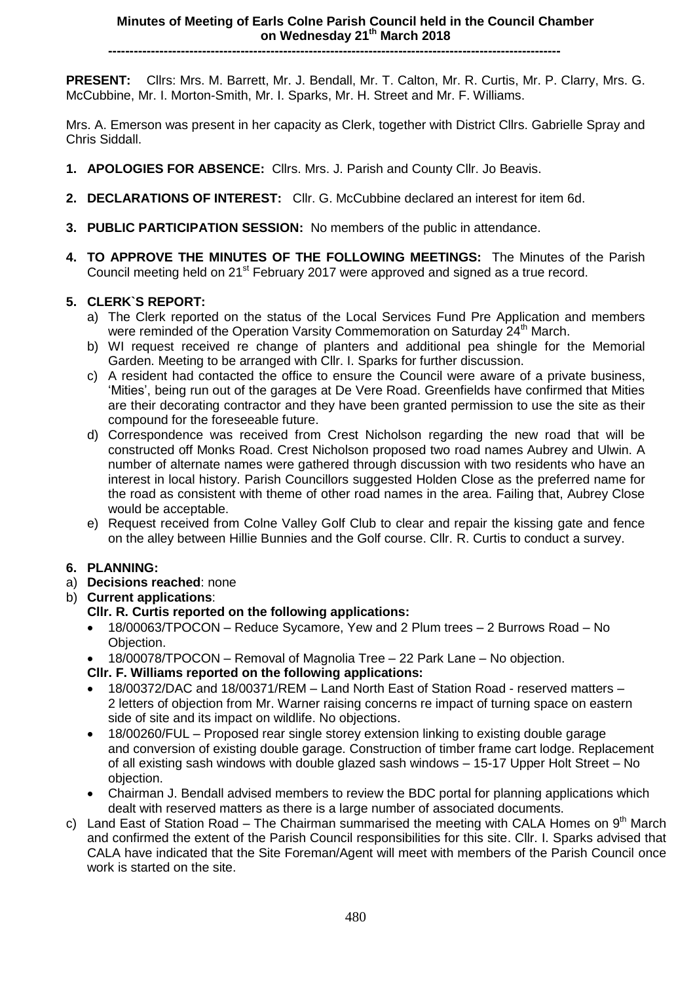**----------------------------------------------------------------------------------------------------------**

**PRESENT:** Cllrs: Mrs. M. Barrett, Mr. J. Bendall, Mr. T. Calton, Mr. R. Curtis, Mr. P. Clarry, Mrs. G. McCubbine, Mr. I. Morton-Smith, Mr. I. Sparks, Mr. H. Street and Mr. F. Williams.

Mrs. A. Emerson was present in her capacity as Clerk, together with District Cllrs. Gabrielle Spray and Chris Siddall.

- **1. APOLOGIES FOR ABSENCE:** Cllrs. Mrs. J. Parish and County Cllr. Jo Beavis.
- **2. DECLARATIONS OF INTEREST:** Cllr. G. McCubbine declared an interest for item 6d.
- **3. PUBLIC PARTICIPATION SESSION:** No members of the public in attendance.
- **4. TO APPROVE THE MINUTES OF THE FOLLOWING MEETINGS:** The Minutes of the Parish Council meeting held on 21<sup>st</sup> February 2017 were approved and signed as a true record.

# **5. CLERK`S REPORT:**

- a) The Clerk reported on the status of the Local Services Fund Pre Application and members were reminded of the Operation Varsity Commemoration on Saturday 24<sup>th</sup> March.
- b) WI request received re change of planters and additional pea shingle for the Memorial Garden. Meeting to be arranged with Cllr. I. Sparks for further discussion.
- c) A resident had contacted the office to ensure the Council were aware of a private business, 'Mities', being run out of the garages at De Vere Road. Greenfields have confirmed that Mities are their decorating contractor and they have been granted permission to use the site as their compound for the foreseeable future.
- d) Correspondence was received from Crest Nicholson regarding the new road that will be constructed off Monks Road. Crest Nicholson proposed two road names Aubrey and Ulwin. A number of alternate names were gathered through discussion with two residents who have an interest in local history. Parish Councillors suggested Holden Close as the preferred name for the road as consistent with theme of other road names in the area. Failing that, Aubrey Close would be acceptable.
- e) Request received from Colne Valley Golf Club to clear and repair the kissing gate and fence on the alley between Hillie Bunnies and the Golf course. Cllr. R. Curtis to conduct a survey.

# **6. PLANNING:**

- a) **Decisions reached**: none
- b) **Current applications**:

# **Cllr. R. Curtis reported on the following applications:**

- 18/00063/TPOCON Reduce Sycamore, Yew and 2 Plum trees 2 Burrows Road No Objection.
- 18/00078/TPOCON Removal of Magnolia Tree 22 Park Lane No objection.
- **Cllr. F. Williams reported on the following applications:**
- 18/00372/DAC and 18/00371/REM Land North East of Station Road reserved matters 2 letters of objection from Mr. Warner raising concerns re impact of turning space on eastern side of site and its impact on wildlife. No objections.
- 18/00260/FUL Proposed rear single storey extension linking to existing double garage and conversion of existing double garage. Construction of timber frame cart lodge. Replacement of all existing sash windows with double glazed sash windows – 15-17 Upper Holt Street – No objection.
- Chairman J. Bendall advised members to review the BDC portal for planning applications which dealt with reserved matters as there is a large number of associated documents.
- c) Land East of Station Road The Chairman summarised the meeting with CALA Homes on  $9<sup>th</sup>$  March and confirmed the extent of the Parish Council responsibilities for this site. Cllr. I. Sparks advised that CALA have indicated that the Site Foreman/Agent will meet with members of the Parish Council once work is started on the site.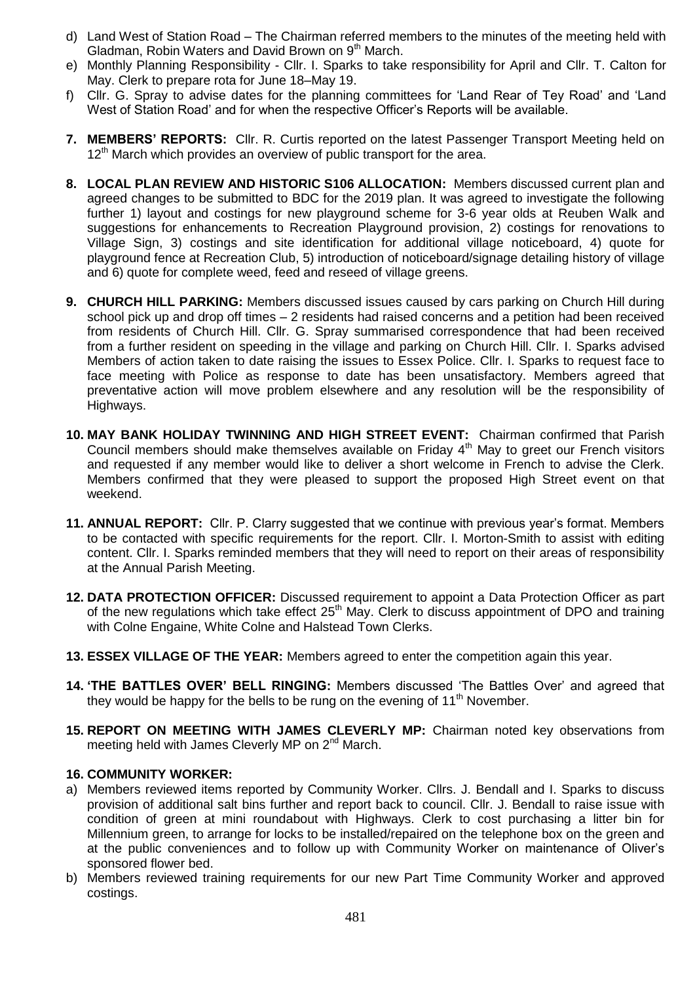- d) Land West of Station Road The Chairman referred members to the minutes of the meeting held with Gladman, Robin Waters and David Brown on 9<sup>th</sup> March.
- e) Monthly Planning Responsibility Cllr. I. Sparks to take responsibility for April and Cllr. T. Calton for May. Clerk to prepare rota for June 18–May 19.
- f) Cllr. G. Spray to advise dates for the planning committees for 'Land Rear of Tey Road' and 'Land West of Station Road' and for when the respective Officer's Reports will be available.
- **7. MEMBERS' REPORTS:** Cllr. R. Curtis reported on the latest Passenger Transport Meeting held on  $12<sup>th</sup>$  March which provides an overview of public transport for the area.
- **8. LOCAL PLAN REVIEW AND HISTORIC S106 ALLOCATION:** Members discussed current plan and agreed changes to be submitted to BDC for the 2019 plan. It was agreed to investigate the following further 1) layout and costings for new playground scheme for 3-6 year olds at Reuben Walk and suggestions for enhancements to Recreation Playground provision, 2) costings for renovations to Village Sign, 3) costings and site identification for additional village noticeboard, 4) quote for playground fence at Recreation Club, 5) introduction of noticeboard/signage detailing history of village and 6) quote for complete weed, feed and reseed of village greens.
- **9. CHURCH HILL PARKING:** Members discussed issues caused by cars parking on Church Hill during school pick up and drop off times – 2 residents had raised concerns and a petition had been received from residents of Church Hill. Cllr. G. Spray summarised correspondence that had been received from a further resident on speeding in the village and parking on Church Hill. Cllr. I. Sparks advised Members of action taken to date raising the issues to Essex Police. Cllr. I. Sparks to request face to face meeting with Police as response to date has been unsatisfactory. Members agreed that preventative action will move problem elsewhere and any resolution will be the responsibility of Highways.
- **10. MAY BANK HOLIDAY TWINNING AND HIGH STREET EVENT:** Chairman confirmed that Parish Council members should make themselves available on Friday 4th May to greet our French visitors and requested if any member would like to deliver a short welcome in French to advise the Clerk. Members confirmed that they were pleased to support the proposed High Street event on that weekend.
- **11. ANNUAL REPORT:** Cllr. P. Clarry suggested that we continue with previous year's format. Members to be contacted with specific requirements for the report. Cllr. I. Morton-Smith to assist with editing content. Cllr. I. Sparks reminded members that they will need to report on their areas of responsibility at the Annual Parish Meeting.
- **12. DATA PROTECTION OFFICER:** Discussed requirement to appoint a Data Protection Officer as part of the new regulations which take effect  $25<sup>th</sup>$  May. Clerk to discuss appointment of DPO and training with Colne Engaine, White Colne and Halstead Town Clerks.
- **13. ESSEX VILLAGE OF THE YEAR:** Members agreed to enter the competition again this year.
- **14. 'THE BATTLES OVER' BELL RINGING:** Members discussed 'The Battles Over' and agreed that they would be happy for the bells to be rung on the evening of  $11<sup>th</sup>$  November.
- **15. REPORT ON MEETING WITH JAMES CLEVERLY MP:** Chairman noted key observations from meeting held with James Cleverly MP on 2<sup>nd</sup> March.

#### **16. COMMUNITY WORKER:**

- a) Members reviewed items reported by Community Worker. Cllrs. J. Bendall and I. Sparks to discuss provision of additional salt bins further and report back to council. Cllr. J. Bendall to raise issue with condition of green at mini roundabout with Highways. Clerk to cost purchasing a litter bin for Millennium green, to arrange for locks to be installed/repaired on the telephone box on the green and at the public conveniences and to follow up with Community Worker on maintenance of Oliver's sponsored flower bed.
- b) Members reviewed training requirements for our new Part Time Community Worker and approved costings.